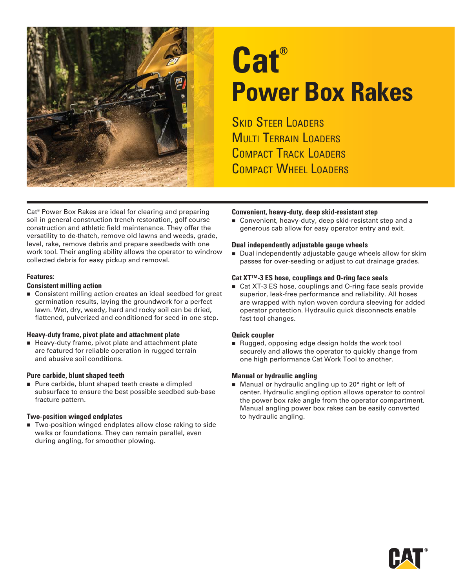

# **Cat® Power Box Rakes**

**SKID STEER LOADERS MULTI TERRAIN LOADERS** COMPACT TRACK LOADERS COMPACT WHEEL LOADERS

Cat® Power Box Rakes are ideal for clearing and preparing soil in general construction trench restoration, golf course construction and athletic field maintenance. They offer the versatility to de-thatch, remove old lawns and weeds, grade, level, rake, remove debris and prepare seedbeds with one work tool. Their angling ability allows the operator to windrow collected debris for easy pickup and removal.

#### **Features:**

#### **Consistent milling action**

■ Consistent milling action creates an ideal seedbed for great germination results, laying the groundwork for a perfect lawn. Wet, dry, weedy, hard and rocky soil can be dried, flattened, pulverized and conditioned for seed in one step.

#### **Heavy-duty frame, pivot plate and attachment plate**

Heavy-duty frame, pivot plate and attachment plate are featured for reliable operation in rugged terrain and abusive soil conditions.

#### **Pure carbide, blunt shaped teeth**

Pure carbide, blunt shaped teeth create a dimpled subsurface to ensure the best possible seedbed sub-base fracture pattern.

#### **Two-position winged endplates**

**Two-position winged endplates allow close raking to side** walks or foundations. They can remain parallel, even during angling, for smoother plowing.

#### **Convenient, heavy-duty, deep skid-resistant step**

■ Convenient, heavy-duty, deep skid-resistant step and a generous cab allow for easy operator entry and exit.

#### **Dual independently adjustable gauge wheels**

Dual independently adjustable gauge wheels allow for skim passes for over-seeding or adjust to cut drainage grades.

#### **Cat XT™-3 ES hose, couplings and O-ring face seals**

■ Cat XT-3 ES hose, couplings and O-ring face seals provide superior, leak-free performance and reliability. All hoses are wrapped with nylon woven cordura sleeving for added operator protection. Hydraulic quick disconnects enable fast tool changes.

#### **Quick coupler**

Rugged, opposing edge design holds the work tool securely and allows the operator to quickly change from one high performance Cat Work Tool to another.

#### **Manual or hydraulic angling**

Manual or hydraulic angling up to 20° right or left of center. Hydraulic angling option allows operator to control the power box rake angle from the operator compartment. Manual angling power box rakes can be easily converted to hydraulic angling.

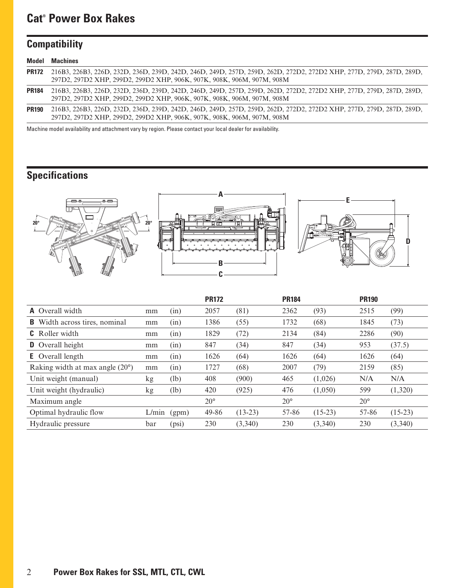## **Cat® Power Box Rakes**

# **Compatibility**

|              | <b>Model Machines</b>                                                                                                                                                                               |
|--------------|-----------------------------------------------------------------------------------------------------------------------------------------------------------------------------------------------------|
|              | PR172 216B3, 226B3, 226D, 232D, 236D, 239D, 242D, 246D, 249D, 257D, 259D, 262D, 272D2, 272D2 XHP, 277D, 279D, 287D, 289D,<br>297D2, 297D2 XHP, 299D2, 299D2 XHP, 906K, 907K, 908K, 906M, 907M, 908M |
| <b>PR184</b> | 216B3, 226B3, 226D, 232D, 236D, 239D, 242D, 246D, 249D, 257D, 259D, 262D, 272D2, 272D2 XHP, 277D, 279D, 287D, 289D,<br>297D2, 297D2 XHP, 299D2, 299D2 XHP, 906K, 907K, 908K, 906M, 907M, 908M       |
| <b>PR190</b> | 216B3, 226B3, 226D, 232D, 236D, 239D, 242D, 244D, 249D, 257D, 259D, 262D, 272D2, 272D2 XHP, 277D, 279D, 287D, 289D,<br>297D2, 297D2 XHP, 299D2, 299D2 XHP, 906K, 907K, 908K, 906M, 907M, 908M       |

Machine model availability and attachment vary by region. Please contact your local dealer for availability.

## **Specifications**



|                                          |       |       | <b>PR172</b> |           | <b>PR184</b> |           | <b>PR190</b> |           |
|------------------------------------------|-------|-------|--------------|-----------|--------------|-----------|--------------|-----------|
| <b>A</b> Overall width                   | mm    | (in)  | 2057         | (81)      | 2362         | (93)      | 2515         | (99)      |
| Width across tires, nominal<br>B.        | mm    | (in)  | 1386         | (55)      | 1732         | (68)      | 1845         | (73)      |
| <b>C</b> Roller width                    | mm    | (in)  | 1829         | (72)      | 2134         | (84)      | 2286         | (90)      |
| <b>D</b> Overall height                  | mm    | (in)  | 847          | (34)      | 847          | (34)      | 953          | (37.5)    |
| <b>E</b> Overall length                  | mm    | (in)  | 1626         | (64)      | 1626         | (64)      | 1626         | (64)      |
| Raking width at max angle $(20^{\circ})$ | mm    | (in)  | 1727         | (68)      | 2007         | (79)      | 2159         | (85)      |
| Unit weight (manual)                     | kg    | (lb)  | 408          | (900)     | 465          | (1,026)   | N/A          | N/A       |
| Unit weight (hydraulic)                  | kg    | (lb)  | 420          | (925)     | 476          | (1,050)   | 599          | (1,320)   |
| Maximum angle                            |       |       | $20^{\circ}$ |           | $20^{\circ}$ |           | $20^{\circ}$ |           |
| Optimal hydraulic flow                   | L/min | (gpm) | 49-86        | $(13-23)$ | 57-86        | $(15-23)$ | 57-86        | $(15-23)$ |
| Hydraulic pressure                       | bar   | (psi) | 230          | (3,340)   | 230          | (3,340)   | 230          | (3,340)   |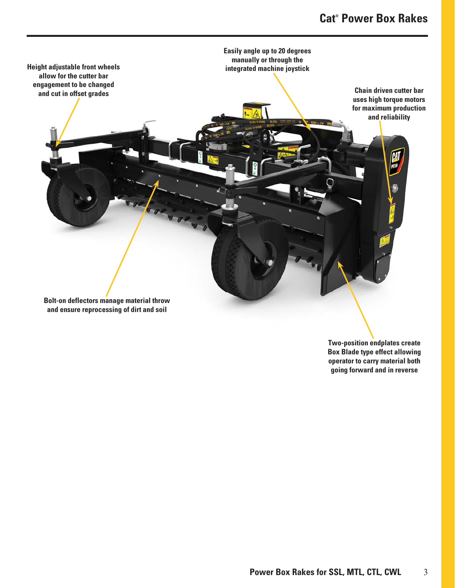

**Two-position endplates create Box Blade type effect allowing operator to carry material both going forward and in reverse**